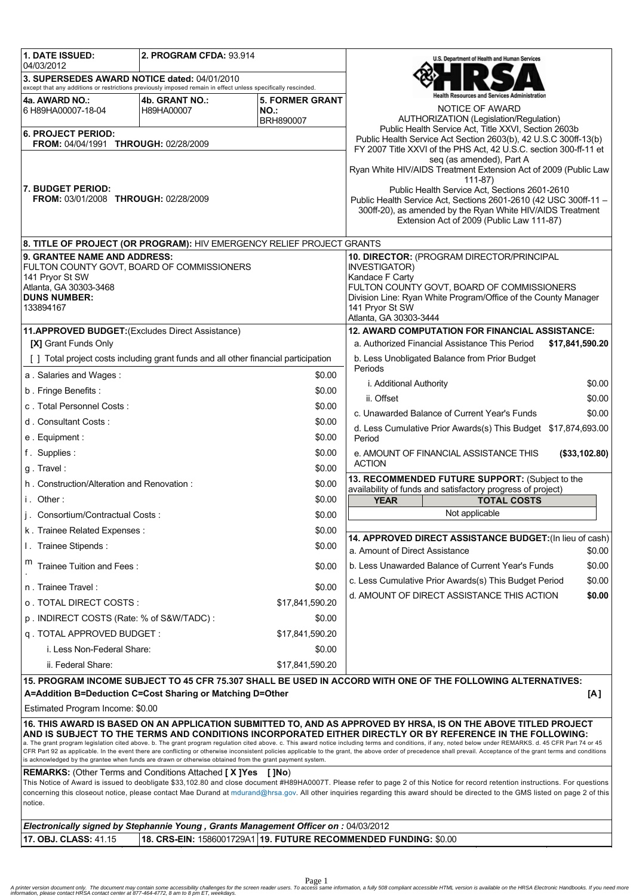| <b>1. DATE ISSUED:</b>                                                                                                                                                                                                                                                                                                          | <b>2. PROGRAM CFDA: 93.914</b>                                   |                                                                 | U.S. Department of Health and Human Services                                                                                                                                    |  |  |  |
|---------------------------------------------------------------------------------------------------------------------------------------------------------------------------------------------------------------------------------------------------------------------------------------------------------------------------------|------------------------------------------------------------------|-----------------------------------------------------------------|---------------------------------------------------------------------------------------------------------------------------------------------------------------------------------|--|--|--|
| 04/03/2012<br>3. SUPERSEDES AWARD NOTICE dated: 04/01/2010                                                                                                                                                                                                                                                                      |                                                                  |                                                                 |                                                                                                                                                                                 |  |  |  |
| except that any additions or restrictions previously imposed remain in effect unless specifically rescinded.                                                                                                                                                                                                                    |                                                                  |                                                                 |                                                                                                                                                                                 |  |  |  |
| 4a. AWARD NO.:                                                                                                                                                                                                                                                                                                                  | 4b. GRANT NO.:                                                   | <b>5. FORMER GRANT</b>                                          | lealth Resources and Services Administration                                                                                                                                    |  |  |  |
| 6 H89HA00007-18-04                                                                                                                                                                                                                                                                                                              | H89HA00007                                                       | <b>NO.:</b>                                                     | NOTICE OF AWARD<br>AUTHORIZATION (Legislation/Regulation)                                                                                                                       |  |  |  |
| BRH890007                                                                                                                                                                                                                                                                                                                       |                                                                  |                                                                 | Public Health Service Act, Title XXVI, Section 2603b                                                                                                                            |  |  |  |
| <b>6. PROJECT PERIOD:</b><br>FROM: 04/04/1991 THROUGH: 02/28/2009                                                                                                                                                                                                                                                               |                                                                  |                                                                 | Public Health Service Act Section 2603(b), 42 U.S.C 300ff-13(b)                                                                                                                 |  |  |  |
|                                                                                                                                                                                                                                                                                                                                 |                                                                  |                                                                 | FY 2007 Title XXVI of the PHS Act, 42 U.S.C. section 300-ff-11 et<br>seq (as amended), Part A                                                                                   |  |  |  |
|                                                                                                                                                                                                                                                                                                                                 |                                                                  | Ryan White HIV/AIDS Treatment Extension Act of 2009 (Public Law |                                                                                                                                                                                 |  |  |  |
| 7. BUDGET PERIOD:                                                                                                                                                                                                                                                                                                               |                                                                  |                                                                 | $111 - 87$<br>Public Health Service Act, Sections 2601-2610                                                                                                                     |  |  |  |
| <b>FROM: 03/01/2008 THROUGH: 02/28/2009</b>                                                                                                                                                                                                                                                                                     |                                                                  |                                                                 | Public Health Service Act, Sections 2601-2610 (42 USC 300ff-11 -                                                                                                                |  |  |  |
|                                                                                                                                                                                                                                                                                                                                 |                                                                  | 300ff-20), as amended by the Ryan White HIV/AIDS Treatment      |                                                                                                                                                                                 |  |  |  |
|                                                                                                                                                                                                                                                                                                                                 |                                                                  |                                                                 | Extension Act of 2009 (Public Law 111-87)                                                                                                                                       |  |  |  |
| 8. TITLE OF PROJECT (OR PROGRAM): HIV EMERGENCY RELIEF PROJECT GRANTS                                                                                                                                                                                                                                                           |                                                                  |                                                                 |                                                                                                                                                                                 |  |  |  |
| 9. GRANTEE NAME AND ADDRESS:                                                                                                                                                                                                                                                                                                    |                                                                  | 10. DIRECTOR: (PROGRAM DIRECTOR/PRINCIPAL                       |                                                                                                                                                                                 |  |  |  |
| FULTON COUNTY GOVT, BOARD OF COMMISSIONERS<br>141 Pryor St SW                                                                                                                                                                                                                                                                   |                                                                  |                                                                 | <b>INVESTIGATOR)</b><br>Kandace F Carty                                                                                                                                         |  |  |  |
| Atlanta, GA 30303-3468                                                                                                                                                                                                                                                                                                          |                                                                  |                                                                 | FULTON COUNTY GOVT, BOARD OF COMMISSIONERS                                                                                                                                      |  |  |  |
| <b>DUNS NUMBER:</b>                                                                                                                                                                                                                                                                                                             |                                                                  |                                                                 | Division Line: Ryan White Program/Office of the County Manager                                                                                                                  |  |  |  |
| 133894167                                                                                                                                                                                                                                                                                                                       |                                                                  |                                                                 | 141 Pryor St SW<br>Atlanta, GA 30303-3444                                                                                                                                       |  |  |  |
| 11.APPROVED BUDGET: (Excludes Direct Assistance)                                                                                                                                                                                                                                                                                |                                                                  |                                                                 | <b>12. AWARD COMPUTATION FOR FINANCIAL ASSISTANCE:</b>                                                                                                                          |  |  |  |
| [X] Grant Funds Only                                                                                                                                                                                                                                                                                                            |                                                                  |                                                                 | a. Authorized Financial Assistance This Period<br>\$17,841,590.20                                                                                                               |  |  |  |
| [ ] Total project costs including grant funds and all other financial participation                                                                                                                                                                                                                                             |                                                                  |                                                                 | b. Less Unobligated Balance from Prior Budget                                                                                                                                   |  |  |  |
| a. Salaries and Wages:                                                                                                                                                                                                                                                                                                          |                                                                  | \$0.00                                                          | Periods                                                                                                                                                                         |  |  |  |
| b. Fringe Benefits:                                                                                                                                                                                                                                                                                                             |                                                                  | \$0.00                                                          | i. Additional Authority<br>\$0.00                                                                                                                                               |  |  |  |
| c. Total Personnel Costs:                                                                                                                                                                                                                                                                                                       |                                                                  | \$0.00                                                          | \$0.00<br>ii. Offset                                                                                                                                                            |  |  |  |
| d. Consultant Costs:                                                                                                                                                                                                                                                                                                            |                                                                  | \$0.00                                                          | c. Unawarded Balance of Current Year's Funds<br>\$0.00                                                                                                                          |  |  |  |
| e. Equipment:                                                                                                                                                                                                                                                                                                                   |                                                                  | \$0.00                                                          | d. Less Cumulative Prior Awards(s) This Budget \$17,874,693.00<br>Period                                                                                                        |  |  |  |
| f. Supplies:                                                                                                                                                                                                                                                                                                                    |                                                                  | \$0.00                                                          | e. AMOUNT OF FINANCIAL ASSISTANCE THIS<br>(\$33,102.80)                                                                                                                         |  |  |  |
| g. Travel:                                                                                                                                                                                                                                                                                                                      |                                                                  | \$0.00                                                          | <b>ACTION</b>                                                                                                                                                                   |  |  |  |
| h. Construction/Alteration and Renovation:                                                                                                                                                                                                                                                                                      |                                                                  | \$0.00                                                          | 13. RECOMMENDED FUTURE SUPPORT: (Subject to the                                                                                                                                 |  |  |  |
| i. Other:                                                                                                                                                                                                                                                                                                                       |                                                                  | \$0.00                                                          | availability of funds and satisfactory progress of project)<br><b>TOTAL COSTS</b><br><b>YEAR</b>                                                                                |  |  |  |
| j. Consortium/Contractual Costs:                                                                                                                                                                                                                                                                                                |                                                                  | \$0.00                                                          | Not applicable                                                                                                                                                                  |  |  |  |
| k. Trainee Related Expenses:                                                                                                                                                                                                                                                                                                    |                                                                  | \$0.00                                                          |                                                                                                                                                                                 |  |  |  |
| I. Trainee Stipends:                                                                                                                                                                                                                                                                                                            |                                                                  | \$0.00                                                          | 14. APPROVED DIRECT ASSISTANCE BUDGET: (In lieu of cash)                                                                                                                        |  |  |  |
| Trainee Tuition and Fees:                                                                                                                                                                                                                                                                                                       |                                                                  | \$0.00                                                          | a. Amount of Direct Assistance<br>\$0.00<br>b. Less Unawarded Balance of Current Year's Funds<br>\$0.00                                                                         |  |  |  |
|                                                                                                                                                                                                                                                                                                                                 |                                                                  |                                                                 | \$0.00<br>c. Less Cumulative Prior Awards(s) This Budget Period                                                                                                                 |  |  |  |
| n. Trainee Travel:                                                                                                                                                                                                                                                                                                              |                                                                  | \$0.00                                                          | d. AMOUNT OF DIRECT ASSISTANCE THIS ACTION<br>\$0.00                                                                                                                            |  |  |  |
| o . TOTAL DIRECT COSTS :                                                                                                                                                                                                                                                                                                        |                                                                  | \$17,841,590.20                                                 |                                                                                                                                                                                 |  |  |  |
| p. INDIRECT COSTS (Rate: % of S&W/TADC):                                                                                                                                                                                                                                                                                        |                                                                  | \$0.00                                                          |                                                                                                                                                                                 |  |  |  |
| q. TOTAL APPROVED BUDGET:                                                                                                                                                                                                                                                                                                       |                                                                  | \$17,841,590.20                                                 |                                                                                                                                                                                 |  |  |  |
| i. Less Non-Federal Share:                                                                                                                                                                                                                                                                                                      |                                                                  | \$0.00                                                          |                                                                                                                                                                                 |  |  |  |
| ii. Federal Share:                                                                                                                                                                                                                                                                                                              |                                                                  | \$17,841,590.20                                                 |                                                                                                                                                                                 |  |  |  |
|                                                                                                                                                                                                                                                                                                                                 |                                                                  |                                                                 | 15. PROGRAM INCOME SUBJECT TO 45 CFR 75.307 SHALL BE USED IN ACCORD WITH ONE OF THE FOLLOWING ALTERNATIVES:                                                                     |  |  |  |
|                                                                                                                                                                                                                                                                                                                                 | A=Addition B=Deduction C=Cost Sharing or Matching D=Other        |                                                                 | [A]                                                                                                                                                                             |  |  |  |
| Estimated Program Income: \$0.00                                                                                                                                                                                                                                                                                                |                                                                  |                                                                 |                                                                                                                                                                                 |  |  |  |
|                                                                                                                                                                                                                                                                                                                                 |                                                                  |                                                                 | 16. THIS AWARD IS BASED ON AN APPLICATION SUBMITTED TO, AND AS APPROVED BY HRSA, IS ON THE ABOVE TITLED PROJECT                                                                 |  |  |  |
| AND IS SUBJECT TO THE TERMS AND CONDITIONS INCORPORATED EITHER DIRECTLY OR BY REFERENCE IN THE FOLLOWING:<br>a. The grant program legislation cited above. b. The grant program regulation cited above. c. This award notice including terms and conditions, if any, noted below under REMARKS. d. 45 CFR Part 74 or 45         |                                                                  |                                                                 |                                                                                                                                                                                 |  |  |  |
| CFR Part 92 as applicable. In the event there are conflicting or otherwise inconsistent policies applicable to the grant, the above order of precedence shall prevail. Acceptance of the grant terms and conditions<br>is acknowledged by the grantee when funds are drawn or otherwise obtained from the grant payment system. |                                                                  |                                                                 |                                                                                                                                                                                 |  |  |  |
| <b>REMARKS:</b> (Other Terms and Conditions Attached [X] Yes<br>$\blacksquare$                                                                                                                                                                                                                                                  |                                                                  |                                                                 |                                                                                                                                                                                 |  |  |  |
|                                                                                                                                                                                                                                                                                                                                 |                                                                  |                                                                 | This Notice of Award is issued to deobligate \$33,102.80 and close document #H89HA0007T. Please refer to page 2 of this Notice for record retention instructions. For questions |  |  |  |
| notice.                                                                                                                                                                                                                                                                                                                         |                                                                  |                                                                 | concerning this closeout notice, please contact Mae Durand at mdurand@hrsa.gov. All other inquiries regarding this award should be directed to the GMS listed on page 2 of this |  |  |  |
|                                                                                                                                                                                                                                                                                                                                 |                                                                  |                                                                 |                                                                                                                                                                                 |  |  |  |
| Electronically signed by Stephannie Young, Grants Management Officer on : 04/03/2012                                                                                                                                                                                                                                            |                                                                  |                                                                 |                                                                                                                                                                                 |  |  |  |
| 17. OBJ. CLASS: 41.15                                                                                                                                                                                                                                                                                                           | 18. CRS-EIN: 1586001729A1 19. FUTURE RECOMMENDED FUNDING: \$0.00 |                                                                 |                                                                                                                                                                                 |  |  |  |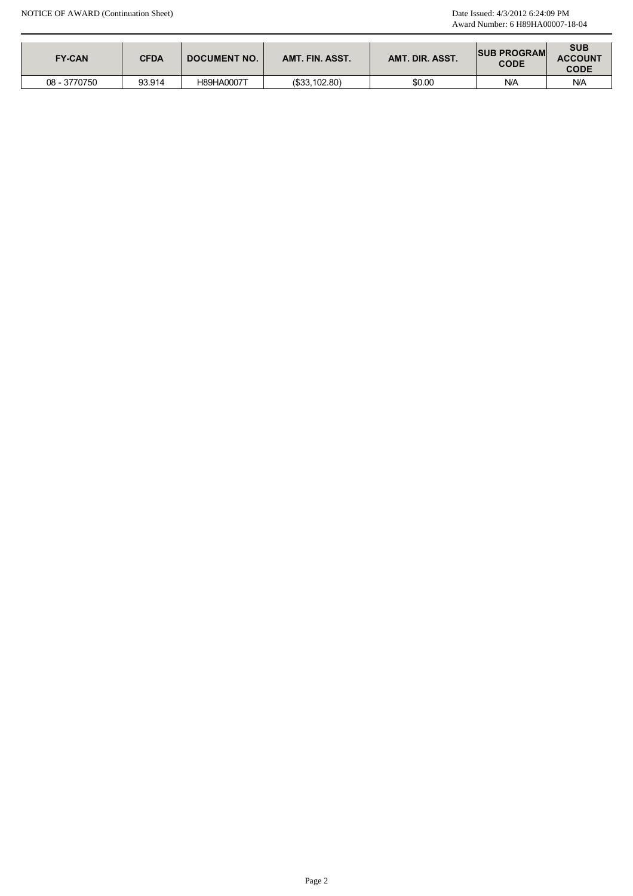| <b>FY-CAN</b> | <b>CFDA</b> | <b>DOCUMENT NO.</b> | AMT. FIN. ASST. | AMT. DIR. ASST. | <b>ISUB PROGRAM</b><br><b>CODE</b> | <b>SUB</b><br><b>ACCOUNT</b><br><b>CODE</b> |
|---------------|-------------|---------------------|-----------------|-----------------|------------------------------------|---------------------------------------------|
| 08 - 3770750  | 93.914      | H89HA0007T          | (\$33,102.80)   | \$0.00          | N/A                                | N/A                                         |